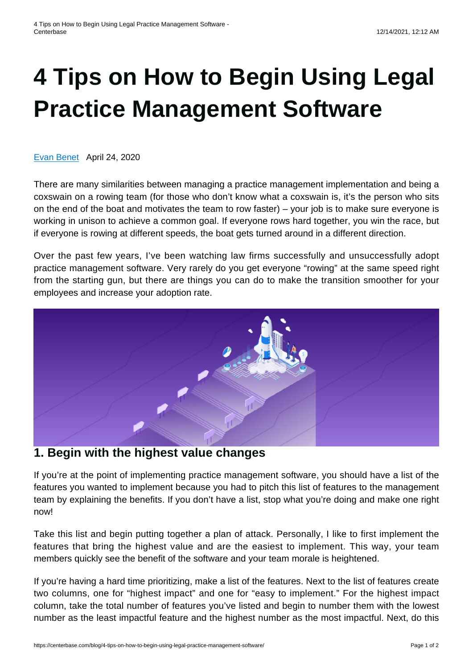# **[4 Tips on How to Begin Using Legal](https://centerbase.com/blog/4-tips-on-how-to-begin-using-legal-practice-management-software/) [Practice Management Software](https://centerbase.com/blog/4-tips-on-how-to-begin-using-legal-practice-management-software/)**

[Evan Benet](https://centerbase.com/blog/author/evan-benet/) April 24, 2020

There are many similarities between managing a practice management implementation and being a coxswain on a rowing team (for those who don't know what a coxswain is, it's the person who sits on the end of the boat and motivates the team to row faster) – your job is to make sure everyone is working in unison to achieve a common goal. If everyone rows hard together, you win the race, but if everyone is rowing at different speeds, the boat gets turned around in a different direction.

Over the past few years, I've been watching law firms successfully and unsuccessfully adopt practice management software. Very rarely do you get everyone "rowing" at the same speed right from the starting gun, but there are things you can do to make the transition smoother for your employees and increase your adoption rate.



### **1. Begin with the highest value changes**

If you're at the point of implementing practice management software, you should have a list of the features you wanted to implement because you had to pitch this list of features to the management team by explaining the benefits. If you don't have a list, stop what you're doing and make one right now!

Take this list and begin putting together a plan of attack. Personally, I like to first implement the features that bring the highest value and are the easiest to implement. This way, your team members quickly see the benefit of the software and your team morale is heightened.

If you're having a hard time prioritizing, make a list of the features. Next to the list of features create two columns, one for "highest impact" and one for "easy to implement." For the highest impact column, take the total number of features you've listed and begin to number them with the lowest number as the least impactful feature and the highest number as the most impactful. Next, do this